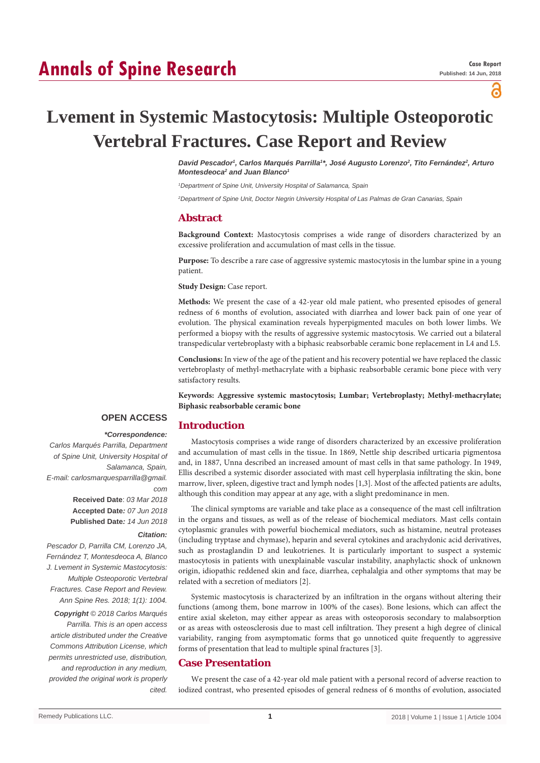# **Annals of Spine Research**

പ്പ

# **Lvement in Systemic Mastocytosis: Multiple Osteoporotic Vertebral Fractures. Case Report and Review**

*David Pescador1 , Carlos Marqués Parrilla1 \*, José Augusto Lorenzo2 , Tito Fernández2 , Arturo*  Montesdeoca<sup>2</sup> and Juan Blanco<sup>1</sup>

*1 Department of Spine Unit, University Hospital of Salamanca, Spain*

*2 Department of Spine Unit, Doctor Negrin University Hospital of Las Palmas de Gran Canarias, Spain*

### **Abstract**

**Background Context:** Mastocytosis comprises a wide range of disorders characterized by an excessive proliferation and accumulation of mast cells in the tissue.

**Purpose:** To describe a rare case of aggressive systemic mastocytosis in the lumbar spine in a young patient.

**Study Design:** Case report.

**Introduction**

**Methods:** We present the case of a 42-year old male patient, who presented episodes of general redness of 6 months of evolution, associated with diarrhea and lower back pain of one year of evolution. The physical examination reveals hyperpigmented macules on both lower limbs. We performed a biopsy with the results of aggressive systemic mastocytosis. We carried out a bilateral transpedicular vertebroplasty with a biphasic reabsorbable ceramic bone replacement in L4 and L5.

**Conclusions:** In view of the age of the patient and his recovery potential we have replaced the classic vertebroplasty of methyl-methacrylate with a biphasic reabsorbable ceramic bone piece with very satisfactory results.

**Keywords: Aggressive systemic mastocytosis; Lumbar; Vertebroplasty; Methyl-methacrylate; Biphasic reabsorbable ceramic bone**

# **OPEN ACCESS**

# *\*Correspondence:*

*Carlos Marqués Parrilla, Department of Spine Unit, University Hospital of Salamanca, Spain, E-mail: carlosmarquesparrilla@gmail. com* **Received Date**: *03 Mar 2018* **Accepted Date***: 07 Jun 2018* **Published Date***: 14 Jun 2018*

#### *Citation:*

*Pescador D, Parrilla CM, Lorenzo JA, Fernández T, Montesdeoca A, Blanco J. Lvement in Systemic Mastocytosis: Multiple Osteoporotic Vertebral Fractures. Case Report and Review. Ann Spine Res. 2018; 1(1): 1004.*

*Copyright © 2018 Carlos Marqués Parrilla. This is an open access article distributed under the Creative Commons Attribution License, which permits unrestricted use, distribution, and reproduction in any medium, provided the original work is properly cited.*

Mastocytosis comprises a wide range of disorders characterized by an excessive proliferation and accumulation of mast cells in the tissue. In 1869, Nettle ship described urticaria pigmentosa and, in 1887, Unna described an increased amount of mast cells in that same pathology. In 1949, Ellis described a systemic disorder associated with mast cell hyperplasia infiltrating the skin, bone marrow, liver, spleen, digestive tract and lymph nodes [1,3]. Most of the affected patients are adults, although this condition may appear at any age, with a slight predominance in men.

The clinical symptoms are variable and take place as a consequence of the mast cell infiltration in the organs and tissues, as well as of the release of biochemical mediators. Mast cells contain cytoplasmic granules with powerful biochemical mediators, such as histamine, neutral proteases (including tryptase and chymase), heparin and several cytokines and arachydonic acid derivatives, such as prostaglandin D and leukotrienes. It is particularly important to suspect a systemic mastocytosis in patients with unexplainable vascular instability, anaphylactic shock of unknown origin, idiopathic reddened skin and face, diarrhea, cephalalgia and other symptoms that may be related with a secretion of mediators [2].

Systemic mastocytosis is characterized by an infiltration in the organs without altering their functions (among them, bone marrow in 100% of the cases). Bone lesions, which can affect the entire axial skeleton, may either appear as areas with osteoporosis secondary to malabsorption or as areas with osteosclerosis due to mast cell infiltration. They present a high degree of clinical variability, ranging from asymptomatic forms that go unnoticed quite frequently to aggressive forms of presentation that lead to multiple spinal fractures [3].

# **Case Presentation**

We present the case of a 42-year old male patient with a personal record of adverse reaction to iodized contrast, who presented episodes of general redness of 6 months of evolution, associated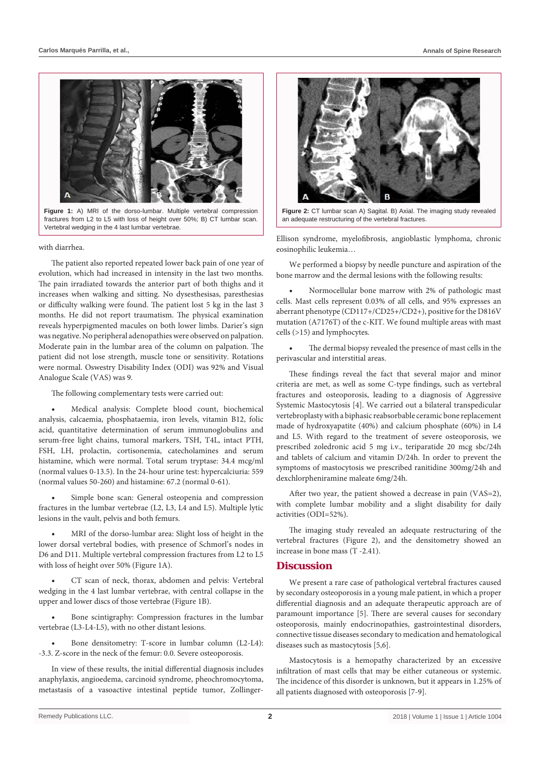

**Figure 1:** A) MRI of the dorso-lumbar. Multiple vertebral compression fractures from L2 to L5 with loss of height over 50%; B) CT lumbar scan. Vertebral wedging in the 4 last lumbar vertebrae.

#### with diarrhea.

The patient also reported repeated lower back pain of one year of evolution, which had increased in intensity in the last two months. The pain irradiated towards the anterior part of both thighs and it increases when walking and sitting. No dysesthesisas, paresthesias or difficulty walking were found. The patient lost 5 kg in the last 3 months. He did not report traumatism. The physical examination reveals hyperpigmented macules on both lower limbs. Darier's sign was negative. No peripheral adenopathies were observed on palpation. Moderate pain in the lumbar area of the column on palpation. The patient did not lose strength, muscle tone or sensitivity. Rotations were normal. Oswestry Disability Index (ODI) was 92% and Visual Analogue Scale (VAS) was 9.

The following complementary tests were carried out:

Medical analysis: Complete blood count, biochemical analysis, calcaemia, phosphataemia, iron levels, vitamin B12, folic acid, quantitative determination of serum immunoglobulins and serum-free light chains, tumoral markers, TSH, T4L, intact PTH, FSH, LH, prolactin, cortisonemia, catecholamines and serum histamine, which were normal. Total serum tryptase: 34.4 mcg/ml (normal values 0-13.5). In the 24-hour urine test: hypercalciuria: 559 (normal values 50-260) and histamine: 67.2 (normal 0-61).

Simple bone scan: General osteopenia and compression fractures in the lumbar vertebrae (L2, L3, L4 and L5). Multiple lytic lesions in the vault, pelvis and both femurs.

MRI of the dorso-lumbar area: Slight loss of height in the lower dorsal vertebral bodies, with presence of Schmorl's nodes in D6 and D11. Multiple vertebral compression fractures from L2 to L5 with loss of height over 50% (Figure 1A).

CT scan of neck, thorax, abdomen and pelvis: Vertebral wedging in the 4 last lumbar vertebrae, with central collapse in the upper and lower discs of those vertebrae (Figure 1B).

Bone scintigraphy: Compression fractures in the lumbar vertebrae (L3-L4-L5), with no other distant lesions.

Bone densitometry: T-score in lumbar column (L2-L4): -3.3. Z-score in the neck of the femur: 0.0. Severe osteoporosis.

In view of these results, the initial differential diagnosis includes anaphylaxis, angioedema, carcinoid syndrome, pheochromocytoma, metastasis of a vasoactive intestinal peptide tumor, Zollinger-



**Figure 2:** CT lumbar scan A) Sagital. B) Axial. The imaging study revealed an adequate restructuring of the vertebral fractures.

Ellison syndrome, myelofibrosis, angioblastic lymphoma, chronic eosinophilic leukemia…

We performed a biopsy by needle puncture and aspiration of the bone marrow and the dermal lesions with the following results:

Normocellular bone marrow with 2% of pathologic mast cells. Mast cells represent 0.03% of all cells, and 95% expresses an aberrant phenotype (CD117+/CD25+/CD2+), positive for the D816V mutation (A7176T) of the c-KIT. We found multiple areas with mast cells (>15) and lymphocytes.

The dermal biopsy revealed the presence of mast cells in the perivascular and interstitial areas.

These findings reveal the fact that several major and minor criteria are met, as well as some C-type findings, such as vertebral fractures and osteoporosis, leading to a diagnosis of Aggressive Systemic Mastocytosis [4]. We carried out a bilateral transpedicular vertebroplasty with a biphasic reabsorbable ceramic bone replacement made of hydroxyapatite (40%) and calcium phosphate (60%) in L4 and L5. With regard to the treatment of severe osteoporosis, we prescribed zoledronic acid 5 mg i.v., teriparatide 20 mcg sbc/24h and tablets of calcium and vitamin D/24h. In order to prevent the symptoms of mastocytosis we prescribed ranitidine 300mg/24h and dexchlorpheniramine maleate 6mg/24h.

After two year, the patient showed a decrease in pain (VAS=2), with complete lumbar mobility and a slight disability for daily activities (ODI=52%).

The imaging study revealed an adequate restructuring of the vertebral fractures (Figure 2), and the densitometry showed an increase in bone mass (T -2.41).

### **Discussion**

We present a rare case of pathological vertebral fractures caused by secondary osteoporosis in a young male patient, in which a proper differential diagnosis and an adequate therapeutic approach are of paramount importance [5]. There are several causes for secondary osteoporosis, mainly endocrinopathies, gastrointestinal disorders, connective tissue diseases secondary to medication and hematological diseases such as mastocytosis [5,6].

Mastocytosis is a hemopathy characterized by an excessive infiltration of mast cells that may be either cutaneous or systemic. The incidence of this disorder is unknown, but it appears in 1.25% of all patients diagnosed with osteoporosis [7-9].